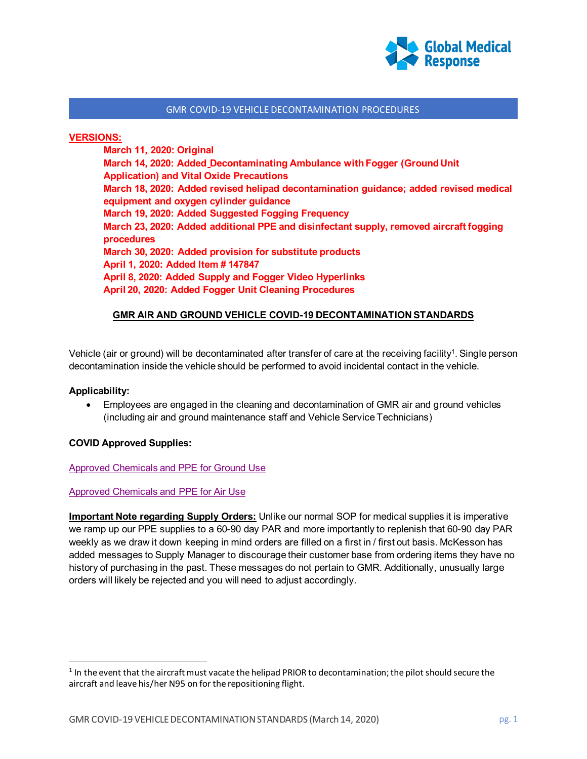

#### **VERSIONS:**

**March 11, 2020: Original March 14, 2020: Added Decontaminating Ambulance with Fogger (Ground Unit Application) and Vital Oxide Precautions March 18, 2020: Added revised helipad decontamination guidance; added revised medical equipment and oxygen cylinder guidance March 19, 2020: Added Suggested Fogging Frequency March 23, 2020: Added additional PPE and disinfectant supply, removed aircraft fogging procedures March 30, 2020: Added provision for substitute products April 1, 2020: Added Item # 147847 April 8, 2020: Added Supply and Fogger Video Hyperlinks April 20, 2020: Added Fogger Unit Cleaning Procedures**

## **GMR AIR AND GROUND VEHICLE COVID-19 DECONTAMINATION STANDARDS**

Vehicle (air or ground) will be decontaminated after transfer of care at the receiving facility<sup>1</sup>. Single person decontamination inside the vehicle should be performed to avoid incidental contact in the vehicle.

#### **Applicability:**

• Employees are engaged in the cleaning and decontamination of GMR air and ground vehicles (including air and ground maintenance staff and Vehicle Service Technicians)

#### **COVID Approved Supplies:**

#### Approved Chemicals and PPE for [Ground Use](https://globalmedicalresponse.com/docs/covid-19-products-for-ground-use.xlsx)

#### [Approved Chemicals](https://globalmedicalresponse.com/docs/covid-19-accepted-products-for-aircraft-use.xlsx) and PPE for Air Use

**Important Note regarding Supply Orders:** Unlike our normal SOP for medical supplies it is imperative we ramp up our PPE supplies to a 60-90 day PAR and more importantly to replenish that 60-90 day PAR weekly as we draw it down keeping in mind orders are filled on a first in / first out basis. McKesson has added messages to Supply Manager to discourage their customer base from ordering items they have no history of purchasing in the past. These messages do not pertain to GMR. Additionally, unusually large orders will likely be rejected and you will need to adjust accordingly.

 $1$  In the event that the aircraft must vacate the helipad PRIOR to decontamination; the pilot should secure the aircraft and leave his/her N95 on for the repositioning flight.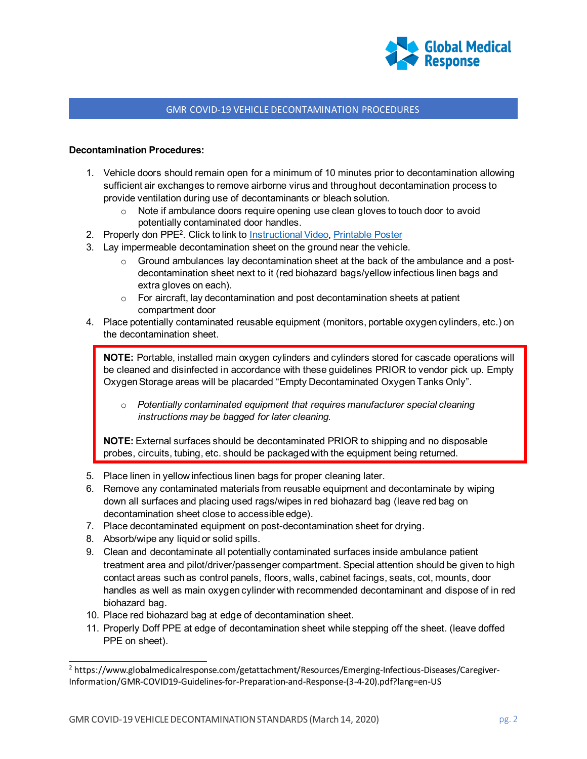

## **Decontamination Procedures:**

- 1. Vehicle doors should remain open for a minimum of 10 minutes prior to decontamination allowing sufficient air exchanges to remove airborne virus and throughout decontamination process to provide ventilation during use of decontaminants or bleach solution.
	- $\circ$  Note if ambulance doors require opening use clean gloves to touch door to avoid potentially contaminated door handles.
- 2. Properly don PPE<sup>2</sup>. Click to link to [Instructional](https://link.zixcentral.com/u/f7f3d8e0/wK-0-Wt36hGnBG0dh3soMg?u=https%3A%2F%2Fwww.youtube.com%2Fwatch%3Fv%3Dt1lxq2OUy-U) Video, [Printable](https://www.cdc.gov/hai/pdfs/ppe/PPE-Sequence.pdf) Poster
- 3. Lay impermeable decontamination sheet on the ground near the vehicle.
	- $\circ$  Ground ambulances lay decontamination sheet at the back of the ambulance and a postdecontamination sheet next to it (red biohazard bags/yellow infectious linen bags and extra gloves on each).
	- $\circ$  For aircraft, lay decontamination and post decontamination sheets at patient compartment door
- 4. Place potentially contaminated reusable equipment (monitors, portable oxygen cylinders, etc.) on the decontamination sheet.

**NOTE:** Portable, installed main oxygen cylinders and cylinders stored for cascade operations will be cleaned and disinfected in accordance with these guidelines PRIOR to vendor pick up. Empty Oxygen Storage areas will be placarded "Empty Decontaminated Oxygen Tanks Only".

o *Potentially contaminated equipment that requires manufacturer special cleaning instructions may be bagged for later cleaning.*

**NOTE:** External surfaces should be decontaminated PRIOR to shipping and no disposable probes, circuits, tubing, etc. should be packaged with the equipment being returned.

- 5. Place linen in yellow infectious linen bags for proper cleaning later.
- 6. Remove any contaminated materials from reusable equipment and decontaminate by wiping down all surfaces and placing used rags/wipes in red biohazard bag (leave red bag on decontamination sheet close to accessible edge).
- 7. Place decontaminated equipment on post-decontamination sheet for drying.
- 8. Absorb/wipe any liquid or solid spills.
- 9. Clean and decontaminate all potentially contaminated surfaces inside ambulance patient treatment area and pilot/driver/passenger compartment. Special attention should be given to high contact areas such as control panels, floors, walls, cabinet facings, seats, cot, mounts, door handles as well as main oxygen cylinder with recommended decontaminant and dispose of in red biohazard bag.
- 10. Place red biohazard bag at edge of decontamination sheet.
- 11. Properly Doff PPE at edge of decontamination sheet while stepping off the sheet. (leave doffed PPE on sheet).

<sup>2</sup> https:[//www.globalmedicalresponse.com/getattachment/Resources/Emerging-Infectious-Diseases/Caregiver-](http://www.globalmedicalresponse.com/getattachment/Resources/Emerging-Infectious-Diseases/Caregiver-)Information/GMR-COVID19-Guidelines-for-Preparation-and-Response-(3-4-20).pdf?lang=en-US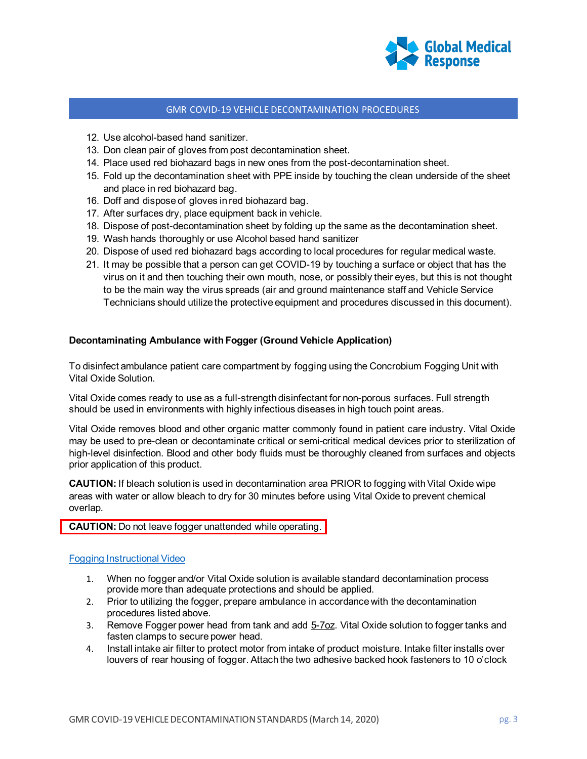

- 12. Use alcohol-based hand sanitizer.
- 13. Don clean pair of gloves from post decontamination sheet.
- 14. Place used red biohazard bags in new ones from the post-decontamination sheet.
- 15. Fold up the decontamination sheet with PPE inside by touching the clean underside of the sheet and place in red biohazard bag.
- 16. Doff and dispose of gloves in red biohazard bag.
- 17. After surfaces dry, place equipment back in vehicle.
- 18. Dispose of post-decontamination sheet by folding up the same as the decontamination sheet.
- 19. Wash hands thoroughly or use Alcohol based hand sanitizer
- 20. Dispose of used red biohazard bags according to local procedures for regular medical waste.
- 21. It may be possible that a person can get COVID-19 by touching a surface or object that has the virus on it and then touching their own mouth, nose, or possibly their eyes, but this is not thought to be the main way the virus spreads (air and ground maintenance staff and Vehicle Service Technicians should utilize the protective equipment and procedures discussed in this document).

## **Decontaminating Ambulance with Fogger (Ground Vehicle Application)**

To disinfect ambulance patient care compartment by fogging using the Concrobium Fogging Unit with Vital Oxide Solution.

Vital Oxide comes ready to use as a full-strength disinfectant for non-porous surfaces. Full strength should be used in environments with highly infectious diseases in high touch point areas.

Vital Oxide removes blood and other organic matter commonly found in patient care industry. Vital Oxide may be used to pre-clean or decontaminate critical or semi-critical medical devices prior to sterilization of high-level disinfection. Blood and other body fluids must be thoroughly cleaned from surfaces and objects prior application of this product.

**CAUTION:** If bleach solution is used in decontamination area PRIOR to fogging with Vital Oxide wipe areas with water or allow bleach to dry for 30 minutes before using Vital Oxide to prevent chemical overlap.

## **CAUTION:** Do not leave fogger unattended while operating.

#### Fogging [Instructional](https://global-medical-response.wistia.com/medias/myzy4hl82b) Video

- 1. When no fogger and/or Vital Oxide solution is available standard decontamination process provide more than adequate protections and should be applied.
- 2. Prior to utilizing the fogger, prepare ambulance in accordance with the decontamination procedures listed above.
- 3. Remove Fogger power head from tank and add 5-7oz. Vital Oxide solution to fogger tanks and fasten clamps to secure power head.
- 4. Install intake air filter to protect motor from intake of product moisture. Intake filter installs over louvers of rear housing of fogger. Attach the two adhesive backed hook fasteners to 10 o'clock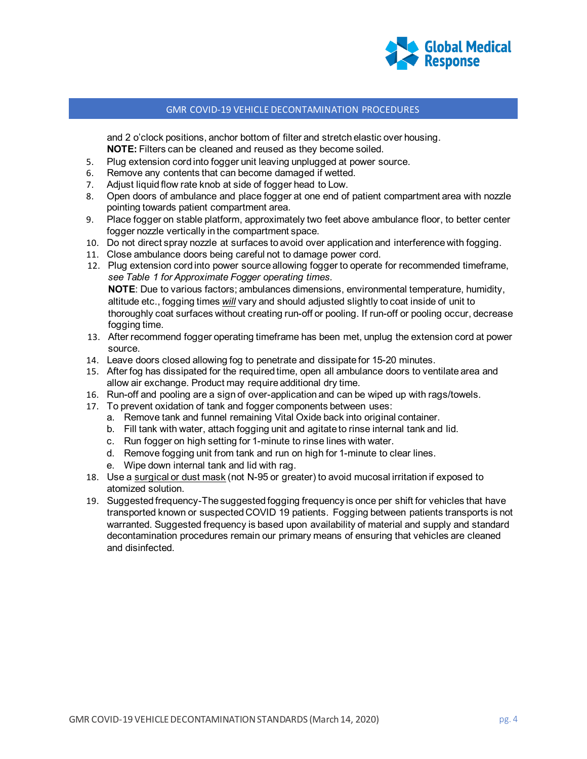

and 2 o'clock positions, anchor bottom of filter and stretch elastic over housing. **NOTE:** Filters can be cleaned and reused as they become soiled.

- 5. Plug extension cord into fogger unit leaving unplugged at power source.
- 6. Remove any contents that can become damaged if wetted.
- 7. Adjust liquid flow rate knob at side of fogger head to Low.
- 8. Open doors of ambulance and place fogger at one end of patient compartment area with nozzle pointing towards patient compartment area.
- 9. Place fogger on stable platform, approximately two feet above ambulance floor, to better center fogger nozzle vertically in the compartment space.
- 10. Do not direct spray nozzle at surfaces to avoid over application and interference with fogging.
- 11. Close ambulance doors being careful not to damage power cord.
- 12. Plug extension cord into power source allowing fogger to operate for recommended timeframe, *see Table 1 for Approximate Fogger operating times.* **NOTE**: Due to various factors; ambulances dimensions, environmental temperature, humidity, altitude etc., fogging times *will* vary and should adjusted slightly to coat inside of unit to thoroughly coat surfaces without creating run-off or pooling. If run-off or pooling occur, decrease fogging time.
- 13. After recommend fogger operating timeframe has been met, unplug the extension cord at power source.
- 14. Leave doors closed allowing fog to penetrate and dissipate for 15-20 minutes.
- 15. After fog has dissipated for the required time, open all ambulance doors to ventilate area and allow air exchange. Product may require additional dry time.
- 16. Run-off and pooling are a sign of over-application and can be wiped up with rags/towels.
- 17. To prevent oxidation of tank and fogger components between uses:
	- a. Remove tank and funnel remaining Vital Oxide back into original container.
	- b. Fill tank with water, attach fogging unit and agitate to rinse internal tank and lid.
	- c. Run fogger on high setting for 1-minute to rinse lines with water.
	- d. Remove fogging unit from tank and run on high for 1-minute to clear lines.
	- e. Wipe down internal tank and lid with rag.
- 18. Use a surgical or dust mask (not N-95 or greater) to avoid mucosal irritation if exposed to atomized solution.
- 19. Suggested frequency-The suggested fogging frequency is once per shift for vehicles that have transported known or suspected COVID 19 patients. Fogging between patients transports is not warranted. Suggested frequency is based upon availability of material and supply and standard decontamination procedures remain our primary means of ensuring that vehicles are cleaned and disinfected.